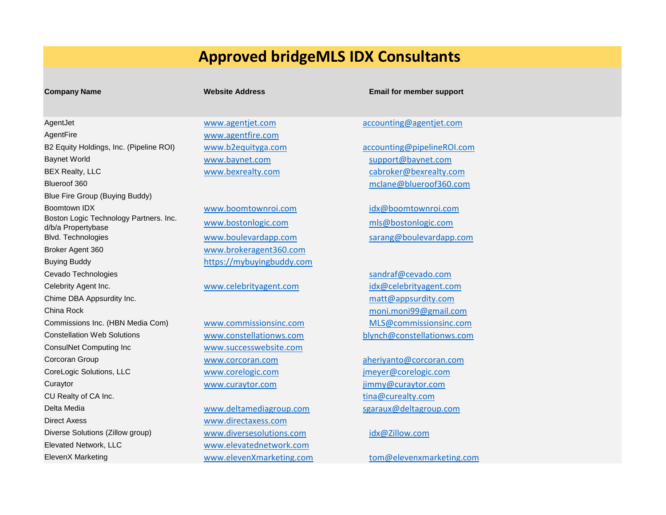# **Approved bridgeMLS IDX Consultants**

## AgentJet [www.agentjet.com](http://www.agentjet.com/) [accounting@agentjet.com](mailto:accounting@agentjet.com) AgentFire [www.agentfire.com](http://www.agentfire.com/) B2 Equity Holdings, Inc. (Pipeline ROI) [www.b2equityga.com](http://www.b2equityga.com/) [accounting@pipelineROI.com](mailto:accounting@pipelineROI.com) Baynet World [www.baynet.com](http://www.baynet.com/) [support@baynet.com](mailto:support@baynet.com) BEX Realty, LLC [www.bexrealty.com](http://www.bexrealty.com/) [cabroker@bexrealty.com](mailto:cabroker@bexrealty.com) Blueroof 360 mclane@blueroof360.com Blue Fire Group (Buying Buddy) Boomtown IDX boomtown www.boomtownroi.com idx@boomtownroi.com Boston Logic Technology Partners. Inc. d/b/a Propertybase [www.bostonlogic.com](http://www.bostonlogic.com/) d/b/a Propertybase mismostonlogic.com Blvd. Technologies [www.boulevardapp.com](http://www.boulevardapp.com/) sarang@boulevardapp.com Broker Agent 360 [www.brokeragent360.com](http://www.brokeragent360.com/) Buying Buddy [https://mybuyingbuddy.com](https://mybuyingbuddy.com/) Cevado Technologies sandraf@cevado.com Celebrity Agent Inc. **[www.celebrityagent.com](http://www.celebrityagent.com/)** [idx@celebrityagent.com](mailto:idx@celebrityagent.com) Chime DBA Appsurdity Inc. [matt@appsurdity.com](mailto:matt@appsurdity.com) China Rock [moni.moni99@gmail.com](mailto:moni.moni99@gmail.com) Commissions Inc. (HBN Media Com) www.commissionsinc.com MLS@commissionsinc.com Constellation Web Solutions [www.constellationws.com](http://www.constellationws.com/) [blynch@constellationws.com](mailto:blynch@constellationws.com) ConsulNet Computing Inc [www.successwebsite.com](http://www.successwebsite.com/) Corcoran Group [www.corcoran.com](http://www.corcoran.com/) [aheriyanto@corcoran.com](mailto:aheriyanto@corcoran.com) CoreLogic Solutions, LLC [www.corelogic.com](http://www.corelogic.com/) [jmeyer@corelogic.com](mailto:jmeyer@corelogic.com) Curaytor [www.curaytor.com](http://www.curaytor.com/) [jimmy@curaytor.com](mailto:jimmy@curaytor.com) CU Realty of CA Inc. [tina@curealty.com](mailto:tina@curealty.com) Delta Media [www.deltamediagroup.com](http://www.deltamediagroup.com/) [sgaraux@deltagroup.com](mailto:sgaraux@deltagroup.com) Direct Axess [www.directaxess.com](http://www.directaxess.com/) Diverse Solutions (Zillow group) [www.diversesolutions.com](http://www.diversesolutions.com/) [idx@Zillow.com](mailto:idx@Zillow.com) Elevated Network, LLC [www.elevatednetwork.com](http://www.elevatednetwork.com/) ElevenX Marketing [www.elevenXmarketing.com](http://www.elevenxmarketing.com/) [tom@elevenxmarketing.com](mailto:tom@elevenxmarketing.com)

### **Company Name Website Address Email for member support Company Name**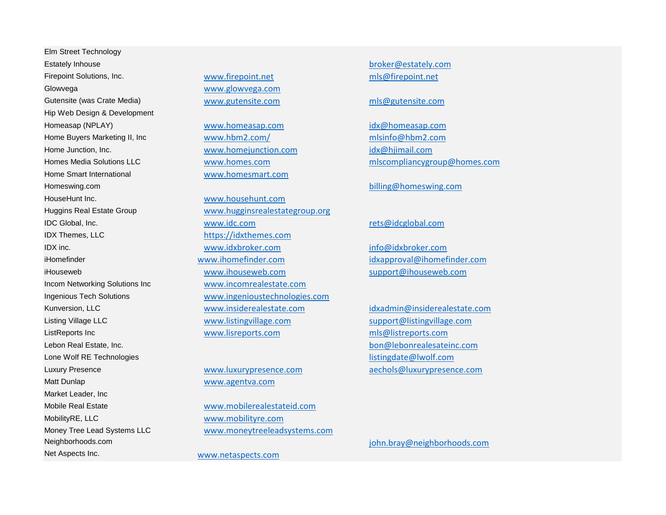Elm Street Technology Estately Inhouse [broker@estately.com](mailto:broker@estately.com) Firepoint Solutions, Inc. [www.firepoint.net](http://www.firepoint.net/) [mls@firepoint.net](mailto:mls@firepoint.net) Glowvega [www.glowvega.com](http://www.glowvega.com/) Gutensite (was Crate Media) [www.gutensite.com](http://www.gutensite.com/) [mls@gutensite.com](mailto:mls@gutensite.com) mls@gutensite.com Hip Web Design & Development Homeasap (NPLAY) [www.homeasap.com](http://www.homeasap.com/) [idx@homeasap.com](mailto:idx@homeasap.com) Home Buyers Marketing II, Inc [www.hbm2.com/](http://www.hbm2.com/) [mlsinfo@hbm2.com](mailto:mlsinfo@hbm2.com) Home Junction, Inc. The Community of the Western Western Western Western Community Community Community Community Community Community Community Community Community Community Community Community Community Community Community Home Smart International [www.homesmart.com](http://www.homesmart.com/) Homeswing.com billing@homeswing.com HouseHunt Inc. [www.househunt.com](http://www.househunt.com/) IDX Themes, LLC [https://idxthemes.com](https://idxthemes.com/) Incom Networking Solutions Inc [www.incomrealestate.com](http://www.incomrealestate.com/) Lebon Real Estate, Inc. [bon@lebonrealesateinc.com](mailto:bon@lebonrealesateinc.com) Lone Wolf RE Technologies [listingdate@lwolf.com](mailto:listingdate@lwolf.com) Luxury Presence [www.luxurypresence.com](http://www.luxurypresence.com/) [aechols@luxurypresence.com](mailto:aechols@luxurypresence.com) Matt Dunlap Watt Dunlap WWW.agentva.com Market Leader, Inc Mobile Real Estate [www.mobilerealestateid.com](http://www.mobilerealestateid.com/) MobilityRE, LLC [www.mobilityre.com](http://www.mobilityre.com/) Neighborhoods.com [john.bray@neighborhoods.com](mailto:john.bray@neighborhoods.com) Net Aspects Inc. [www.netaspects.com](http://www.netaspects.com/)

Huggins Real Estate Group [www.hugginsrealestategroup.org](http://www.hugginsrealestategroup.org/) IDC Global, Inc. [www.idc.com](http://www.idc.com/) [rets@idcglobal.com](mailto:rets@idcglobal.com) IDX inc. [www.idxbroker.com](http://www.idxbroker.com/) [info@idxbroker.com](mailto:info@idxbroker.com) iHomefinder [www.ihomefinder.com](http://www.ihomefinder.com/) [idxapproval@ihomefinder.com](mailto:idxapproval@ihomefinder.com) iHouseweb [www.ihouseweb.com](http://www.ihouseweb.com/) [support@ihouseweb.com](mailto:support@ihouseweb.com) Ingenious Tech Solutions [www.ingenioustechnologies.com](http://www.ingenioustechnologies.com/) Kunversion, LLC [www.insiderealestate.com](http://www.insiderealestate.com/) [idxadmin@insiderealestate.com](mailto:idxadmin@insiderealestate.com) Listing Village LLC [www.listingvillage.com](http://www.listingvillage.com/) [support@listingvillage.com](mailto:support@listingvillage.com) ListReports Inc [www.lisreports.com](http://www.lisreports.com/) [mls@listreports.com](mailto:mls@listreports.com)

Money Tree Lead Systems LLC [www.moneytreeleadsystems.com](http://www.moneytreeleadsystems.com/)

Homes Media Solutions LLC [www.homes.com](http://www.homes.com/) [mlscompliancygroup@homes.com](mailto:mlscompliancygroup@homes.com)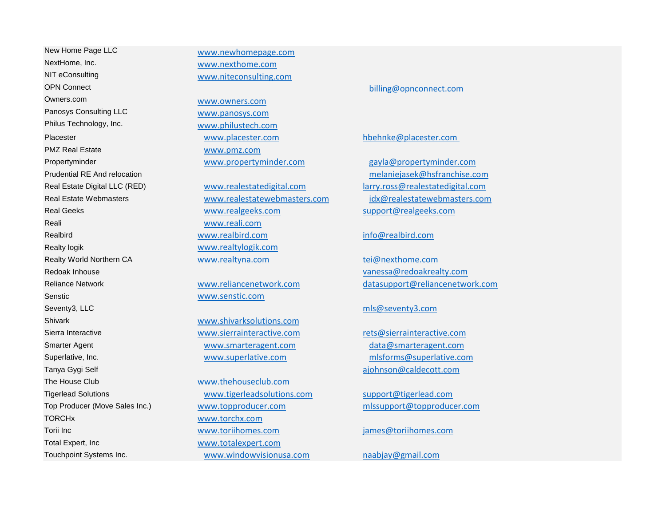New Home Page LLC [www.newhomepage.com](http://www.newhomepage.com/) NextHome, Inc. [www.nexthome.com](http://www.nexthome.com/) NIT eConsulting [www.niteconsulting.com](http://www.niteconsulting.com/) OPN Connect [billing@opnconnect.com](mailto:billing@opnconnect.com) Owners.com [www.owners.com](http://www.owners.com/) Panosys Consulting LLC [www.panosys.com](http://www.panosys.com/) Philus Technology, Inc. [www.philustech.com](http://www.philustech.com/) Placester [www.placester.com](http://www.placester.com/) [hbehnke@placester.com](mailto:hbehnke@placester.com)  PMZ Real Estate [www.pmz.com](http://www.pmz.com/) Propertyminder [www.propertyminder.com](http://www.propertyminder.com/) [gayla@propertyminder.com](mailto:gayla@propertyminder.com) Reali [www.reali.com](http://www.reali.com/) Realty logik [www.realtylogik.com](http://www.realtylogik.com/) Redoak Inhouse [vanessa@redoakrealty.com](mailto:vanessa@redoakrealty.com) Senstic [www.senstic.com](http://www.senstic.com/) Seventy3, LLC mission and the company of the company of the company of the company of the company of the company of the company of the company of the company of the company of the company of the company of the company of t Shivark [www.shivarksolutions.com](http://www.shivarksolutions.com/) Sierra Interactive [www.sierrainteractive.com](http://www.sierrainteractive.com/) [rets@sierrainteractive.com](mailto:rets@sierrainteractive.com) Smarter Agent [www.smarteragent.com](http://www.smarteragent.com/) [data@smarteragent.com](mailto:data@smarteragent.com) Superlative, Inc. [www.superlative.com](http://www.superlative.com/) [mlsforms@superlative.com](mailto:mlsforms@superlative.com) Tanya Gygi Self [ajohnson@caldecott.com](mailto:ajohnson@caldecott.com) The House Club [www.thehouseclub.com](http://www.thehouseclub.com/) TORCHx [www.torchx.com](http://www.torchx.com/) Total Expert, Inc [www.totalexpert.com](http://www.totalexpert.com/)

Real Geeks [www.realgeeks.com](http://www.realgeeks.com/) [support@realgeeks.com](mailto:support@realgeeks.com) Realbird [www.realbird.com](http://www.realbird.com/) [info@realbird.com](mailto:info@realbird.com) Realty World Northern CA [www.realtyna.com](http://www.realtyna.com/) [tei@nexthome.com](mailto:tei@nexthome.com)

Tigerlead Solutions [www.tigerleadsolutions.com](http://www.tigerleadsolutions.com/) [support@tigerlead.com](mailto:support@tigerlead.com) Torii Inc [www.toriihomes.com](http://www.toriihomes.com/) [james@toriihomes.com](mailto:james@toriihomes.com) Touchpoint Systems Inc. The Control of the WWW.windowvisionusa.com [naabjay@gmail.com](mailto:naabjay@gmail.com)

Prudential RE And relocation [melaniejasek@hsfranchise.com](mailto:melaniejasek@hsfranchise.com) Real Estate Digital LLC (RED) [www.realestatedigital.com](http://www.realestatedigital.com/) [larry.ross@realestatedigital.com](mailto:larry.ross@realestatedigital.com) Real Estate Webmasters [www.realestatewebmasters.com](http://www.realestatewebmasters.com/) [idx@realestatewebmasters.com](mailto:idx@realestatewebmasters.com)

Reliance Network [www.reliancenetwork.com](http://www.reliancenetwork.com/) [datasupport@reliancenetwork.com](mailto:datasupport@reliancenetwork.com)

Top Producer (Move Sales Inc.) [www.topproducer.com](http://www.topproducer.com/) [mlssupport@topproducer.com](mailto:mlssupport@topproducer.com)